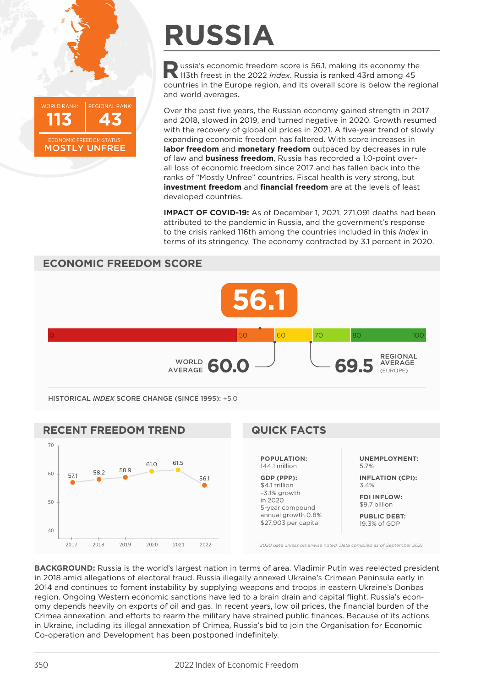

## **RUSSIA**

**Russia's economic freedom score is 56.1, making its economy the 113th freest in the 2022** *Index***. Russia is ranked 43rd among 45** countries in the Europe region, and its overall score is below the regional and world averages.

Over the past five years, the Russian economy gained strength in 2017 and 2018, slowed in 2019, and turned negative in 2020. Growth resumed with the recovery of global oil prices in 2021. A five-year trend of slowly expanding economic freedom has faltered. With score increases in **labor freedom** and **monetary freedom** outpaced by decreases in rule of law and **business freedom**, Russia has recorded a 1.0-point overall loss of economic freedom since 2017 and has fallen back into the ranks of "Mostly Unfree" countries. Fiscal health is very strong, but **investment freedom** and **financial freedom** are at the levels of least developed countries.

**IMPACT OF COVID-19:** As of December 1, 2021, 271,091 deaths had been attributed to the pandemic in Russia, and the government's response to the crisis ranked 116th among the countries included in this *Index* in terms of its stringency. The economy contracted by 3.1 percent in 2020.





**BACKGROUND:** Russia is the world's largest nation in terms of area. Vladimir Putin was reelected president in 2018 amid allegations of electoral fraud. Russia illegally annexed Ukraine's Crimean Peninsula early in 2014 and continues to foment instability by supplying weapons and troops in eastern Ukraine's Donbas region. Ongoing Western economic sanctions have led to a brain drain and capital flight. Russia's economy depends heavily on exports of oil and gas. In recent years, low oil prices, the financial burden of the Crimea annexation, and efforts to rearm the military have strained public finances. Because of its actions in Ukraine, including its illegal annexation of Crimea, Russia's bid to join the Organisation for Economic Co-operation and Development has been postponed indefinitely.